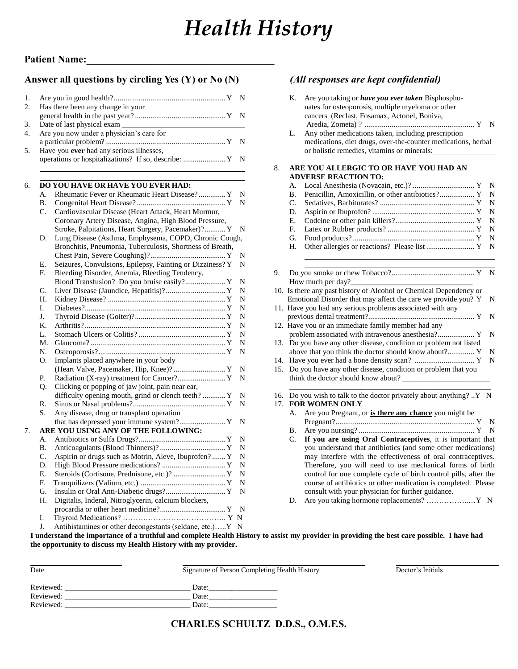# *Health History*

#### **Answer all questions by circling Yes (Y) or No (N)** *(All responses are kept confidential)*

| 1. |           |                                                                        | N              |  |  |
|----|-----------|------------------------------------------------------------------------|----------------|--|--|
| 2. |           | Has there been any change in your                                      | N              |  |  |
| 3. |           |                                                                        |                |  |  |
| 4. |           | Date of last physical exam<br>Are you now under a physician's care for |                |  |  |
|    |           |                                                                        | N              |  |  |
| 5. |           | Have you ever had any serious illnesses,                               |                |  |  |
|    |           | operations or hospitalizations? If so, describe:  Y                    | N              |  |  |
| 6. |           | DO YOU HAVE OR HAVE YOU EVER HAD:                                      |                |  |  |
|    | А.        | Rheumatic Fever or Rheumatic Heart Disease? Y                          | $\mathbf N$    |  |  |
|    | В.        |                                                                        | N              |  |  |
|    | C.        | Cardiovascular Disease (Heart Attack, Heart Murmur,                    |                |  |  |
|    |           | Coronary Artery Disease, Angina, High Blood Pressure,                  |                |  |  |
|    |           | Stroke, Palpitations, Heart Surgery, Pacemaker)? Y                     | N              |  |  |
|    | D.        | Lung Disease (Asthma, Emphysema, COPD, Chronic Cough,                  |                |  |  |
|    |           | Bronchitis, Pneumonia, Tuberculosis, Shortness of Breath,              |                |  |  |
|    |           |                                                                        | N              |  |  |
|    | E.        | Seizures, Convulsions, Epilepsy, Fainting or Dizziness? Y              | N              |  |  |
|    | F.        | Bleeding Disorder, Anemia, Bleeding Tendency,                          |                |  |  |
|    |           | Blood Transfusion? Do you bruise easily? Y                             | N              |  |  |
|    | G.        |                                                                        | N              |  |  |
|    | Н.<br>I.  |                                                                        | N<br>N         |  |  |
|    | J.        |                                                                        | $\mathbf N$    |  |  |
|    | Κ.        |                                                                        | N              |  |  |
|    | L.        |                                                                        | N              |  |  |
|    | М.        |                                                                        | N              |  |  |
|    | N.        |                                                                        | N              |  |  |
|    | O.        | Implants placed anywhere in your body                                  |                |  |  |
|    |           |                                                                        | $\overline{N}$ |  |  |
|    | Р.        |                                                                        | N              |  |  |
|    | Q.        | Clicking or popping of jaw joint, pain near ear,                       |                |  |  |
|    |           | difficulty opening mouth, grind or clench teeth?  Y                    | N              |  |  |
|    | R.        |                                                                        | N              |  |  |
|    | S.        | Any disease, drug or transplant operation                              |                |  |  |
|    |           | that has depressed your immune system? Y                               | N              |  |  |
| 7. |           | ARE YOU USING ANY OF THE FOLLOWING:                                    |                |  |  |
|    | А.        |                                                                        | N              |  |  |
|    | <b>B.</b> |                                                                        | N              |  |  |
|    | C.        | Aspirin or drugs such as Motrin, Aleve, Ibuprofen?  Y                  | N              |  |  |
|    | D.        |                                                                        | N              |  |  |
|    | Е.        | Steroids (Cortisone, Prednisone, etc.)?  Y                             | N              |  |  |
|    | F.        |                                                                        | N<br>N         |  |  |
|    | G.<br>Η.  |                                                                        |                |  |  |
|    |           | Digitalis, Inderal, Nitroglycerin, calcium blockers,                   | N              |  |  |
|    | I.        |                                                                        | N              |  |  |
|    | J.        | Antihistamines or other decongestants (seldane, etc.)Y N               |                |  |  |
|    |           | I understand the importance of a truthful and complete Health His      |                |  |  |
|    |           |                                                                        |                |  |  |

|     | K.<br>Are you taking or have you ever taken Bisphospho-<br>nates for osteoporosis, multiple myeloma or other |                                                                    |             |  |  |  |  |  |
|-----|--------------------------------------------------------------------------------------------------------------|--------------------------------------------------------------------|-------------|--|--|--|--|--|
|     |                                                                                                              | cancers (Reclast, Fosamax, Actonel, Boniva,                        |             |  |  |  |  |  |
|     |                                                                                                              |                                                                    | $\mathbf N$ |  |  |  |  |  |
|     | L.                                                                                                           | Any other medications taken, including prescription                |             |  |  |  |  |  |
|     |                                                                                                              | medications, diet drugs, over-the-counter medications, herbal      |             |  |  |  |  |  |
|     |                                                                                                              | or holistic remedies, vitamins or minerals:                        |             |  |  |  |  |  |
| 8.  |                                                                                                              | ARE YOU ALLERGIC TO OR HAVE YOU HAD AN                             |             |  |  |  |  |  |
|     |                                                                                                              | <b>ADVERSE REACTION TO:</b>                                        |             |  |  |  |  |  |
|     | А.                                                                                                           |                                                                    | N           |  |  |  |  |  |
|     | В.                                                                                                           | Penicillin, Amoxicillin, or other antibiotics? Y                   | N           |  |  |  |  |  |
|     | C.                                                                                                           |                                                                    | N           |  |  |  |  |  |
|     | D.                                                                                                           |                                                                    | N           |  |  |  |  |  |
|     | E.                                                                                                           |                                                                    | N           |  |  |  |  |  |
|     | F.                                                                                                           |                                                                    | N           |  |  |  |  |  |
|     | G.                                                                                                           |                                                                    | N           |  |  |  |  |  |
|     | Н.                                                                                                           |                                                                    | N           |  |  |  |  |  |
|     |                                                                                                              |                                                                    |             |  |  |  |  |  |
| 9.  |                                                                                                              | How much per day?                                                  | N           |  |  |  |  |  |
|     |                                                                                                              | 10. Is there any past history of Alcohol or Chemical Dependency or |             |  |  |  |  |  |
|     |                                                                                                              | Emotional Disorder that may affect the care we provide you? Y      | N           |  |  |  |  |  |
|     |                                                                                                              | 11. Have you had any serious problems associated with any          |             |  |  |  |  |  |
|     |                                                                                                              |                                                                    | N           |  |  |  |  |  |
|     |                                                                                                              | 12. Have you or an immediate family member had any                 |             |  |  |  |  |  |
|     |                                                                                                              | problem associated with intravenous anesthesia? Y                  | N           |  |  |  |  |  |
| 13. |                                                                                                              | Do you have any other disease, condition or problem not listed     |             |  |  |  |  |  |
|     |                                                                                                              | above that you think the doctor should know about? Y               | N           |  |  |  |  |  |
| 14. |                                                                                                              |                                                                    | N           |  |  |  |  |  |
| 15. |                                                                                                              | Do you have any other disease, condition or problem that you       |             |  |  |  |  |  |
|     |                                                                                                              | think the doctor should know about?                                |             |  |  |  |  |  |
| 16. |                                                                                                              | Do you wish to talk to the doctor privately about anything? Y N    |             |  |  |  |  |  |
| 17. | <b>FOR WOMEN ONLY</b>                                                                                        |                                                                    |             |  |  |  |  |  |
|     | А.                                                                                                           | Are you Pregnant, or is there any chance you might be              | N           |  |  |  |  |  |
|     | В.                                                                                                           |                                                                    | N           |  |  |  |  |  |
|     | C.                                                                                                           | If you are using Oral Contraceptives, it is important that         |             |  |  |  |  |  |
|     |                                                                                                              | you understand that antibiotics (and some other medications)       |             |  |  |  |  |  |
|     |                                                                                                              | may interfere with the effectiveness of oral contraceptives.       |             |  |  |  |  |  |
|     |                                                                                                              | Therefore, you will need to use mechanical forms of birth          |             |  |  |  |  |  |
|     |                                                                                                              | control for one complete cycle of birth control pills, after the   |             |  |  |  |  |  |
|     |                                                                                                              | course of antibiotics or other medication is completed. Please     |             |  |  |  |  |  |
|     |                                                                                                              | consult with your physician for further guidance.                  |             |  |  |  |  |  |
|     | D.                                                                                                           | Are you taking hormone replacements?  Y N                          |             |  |  |  |  |  |

**I** istory to assist my provider in providing the best care possible. I have had **the opportunity to discuss my Health History with my provider.**

| Date      | Signature of Person Completing Health History | Doctor's Initials |
|-----------|-----------------------------------------------|-------------------|
| Reviewed: | Date:                                         |                   |
| Reviewed: | Date:                                         |                   |
| Reviewed: | Date:                                         |                   |

#### **CHARLES SCHULTZ D.D.S., O.M.F.S.**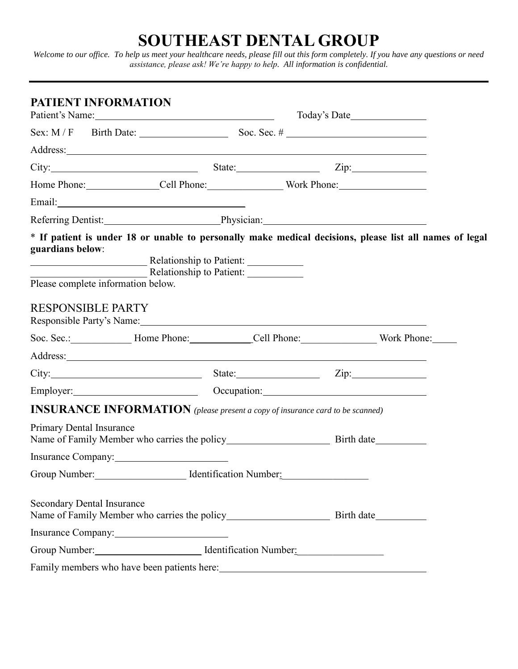## **SOUTHEAST DENTAL GROUP**

*Welcome to our office. To help us meet your healthcare needs, please fill out this form completely. If you have any questions or need assistance, please ask! We're happy to help. All information is confidential.*

| <b>PATIENT INFORMATION</b>                             | Patient's Name:                                                                                                                                                                                                                      |                                                                                                                                                                                                                                |  |
|--------------------------------------------------------|--------------------------------------------------------------------------------------------------------------------------------------------------------------------------------------------------------------------------------------|--------------------------------------------------------------------------------------------------------------------------------------------------------------------------------------------------------------------------------|--|
|                                                        |                                                                                                                                                                                                                                      |                                                                                                                                                                                                                                |  |
|                                                        | Address: <u>example and the set of the set of the set of the set of the set of the set of the set of the set of the set of the set of the set of the set of the set of the set of the set of the set of the set of the set of th</u> |                                                                                                                                                                                                                                |  |
|                                                        |                                                                                                                                                                                                                                      | City: $\qquad \qquad \qquad$ State: $\qquad \qquad$ Zip:                                                                                                                                                                       |  |
|                                                        |                                                                                                                                                                                                                                      | Home Phone: Cell Phone: Work Phone:                                                                                                                                                                                            |  |
|                                                        |                                                                                                                                                                                                                                      |                                                                                                                                                                                                                                |  |
|                                                        |                                                                                                                                                                                                                                      | Referring Dentist: Physician: Physician:                                                                                                                                                                                       |  |
| guardians below:<br>Please complete information below. | Relationship to Patient:<br>Relationship to Patient:                                                                                                                                                                                 | * If patient is under 18 or unable to personally make medical decisions, please list all names of legal                                                                                                                        |  |
| <b>RESPONSIBLE PARTY</b>                               | Responsible Party's Name: 1988 Contract to the Contract of the Party's Name:                                                                                                                                                         |                                                                                                                                                                                                                                |  |
|                                                        |                                                                                                                                                                                                                                      |                                                                                                                                                                                                                                |  |
|                                                        |                                                                                                                                                                                                                                      |                                                                                                                                                                                                                                |  |
|                                                        |                                                                                                                                                                                                                                      | City: $\qquad \qquad \qquad$ State: $\qquad \qquad$ Zip:                                                                                                                                                                       |  |
|                                                        |                                                                                                                                                                                                                                      | Employer: Contact Contact Contact Contact Contact Contact Contact Contact Contact Contact Contact Contact Contact Contact Contact Contact Contact Contact Contact Contact Contact Contact Contact Contact Contact Contact Cont |  |
|                                                        | <b>INSURANCE INFORMATION</b> (please present a copy of insurance card to be scanned)                                                                                                                                                 |                                                                                                                                                                                                                                |  |
| <b>Primary Dental Insurance</b>                        |                                                                                                                                                                                                                                      |                                                                                                                                                                                                                                |  |
|                                                        | Insurance Company:                                                                                                                                                                                                                   |                                                                                                                                                                                                                                |  |
|                                                        | Group Number: Identification Number:                                                                                                                                                                                                 |                                                                                                                                                                                                                                |  |
| <b>Secondary Dental Insurance</b>                      |                                                                                                                                                                                                                                      |                                                                                                                                                                                                                                |  |
|                                                        | Insurance Company:                                                                                                                                                                                                                   |                                                                                                                                                                                                                                |  |
|                                                        | Group Number: Internation Number Mumber 2014                                                                                                                                                                                         |                                                                                                                                                                                                                                |  |
|                                                        |                                                                                                                                                                                                                                      |                                                                                                                                                                                                                                |  |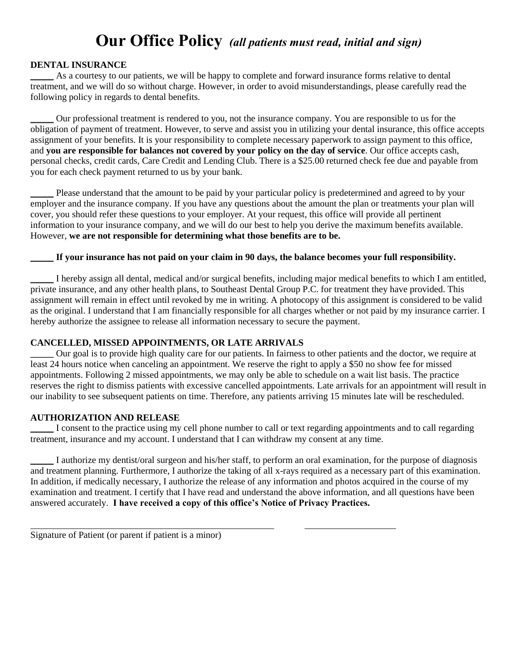### **Our Office Policy** *(all patients must read, initial and sign)*

#### **DENTAL INSURANCE**

As a courtesy to our patients, we will be happy to complete and forward insurance forms relative to dental treatment, and we will do so without charge. However, in order to avoid misunderstandings, please carefully read the following policy in regards to dental benefits.

\_\_\_\_\_ Our professional treatment is rendered to you, not the insurance company. You are responsible to us for the obligation of payment of treatment. However, to serve and assist you in utilizing your dental insurance, this office accepts assignment of your benefits. It is your responsibility to complete necessary paperwork to assign payment to this office, and **you are responsible for balances not covered by your policy on the day of service**. Our office accepts cash, personal checks, credit cards, Care Credit and Lending Club. There is a \$25.00 returned check fee due and payable from you for each check payment returned to us by your bank.

Please understand that the amount to be paid by your particular policy is predetermined and agreed to by your employer and the insurance company. If you have any questions about the amount the plan or treatments your plan will cover, you should refer these questions to your employer. At your request, this office will provide all pertinent information to your insurance company, and we will do our best to help you derive the maximum benefits available. However, **we are not responsible for determining what those benefits are to be.**

#### \_\_\_\_\_ **If your insurance has not paid on your claim in 90 days, the balance becomes your full responsibility.**

\_\_\_\_\_ I hereby assign all dental, medical and/or surgical benefits, including major medical benefits to which I am entitled, private insurance, and any other health plans, to Southeast Dental Group P.C. for treatment they have provided. This assignment will remain in effect until revoked by me in writing. A photocopy of this assignment is considered to be valid as the original. I understand that I am financially responsible for all charges whether or not paid by my insurance carrier. I hereby authorize the assignee to release all information necessary to secure the payment.

#### **CANCELLED, MISSED APPOINTMENTS, OR LATE ARRIVALS**

\_\_\_\_\_ Our goal is to provide high quality care for our patients. In fairness to other patients and the doctor, we require at least 24 hours notice when canceling an appointment. We reserve the right to apply a \$50 no show fee for missed appointments. Following 2 missed appointments, we may only be able to schedule on a wait list basis. The practice reserves the right to dismiss patients with excessive cancelled appointments. Late arrivals for an appointment will result in our inability to see subsequent patients on time. Therefore, any patients arriving 15 minutes late will be rescheduled.

#### **AUTHORIZATION AND RELEASE**

\_\_\_\_\_ I consent to the practice using my cell phone number to call or text regarding appointments and to call regarding treatment, insurance and my account. I understand that I can withdraw my consent at any time.

I authorize my dentist/oral surgeon and his/her staff, to perform an oral examination, for the purpose of diagnosis and treatment planning. Furthermore, I authorize the taking of all x-rays required as a necessary part of this examination. In addition, if medically necessary, I authorize the release of any information and photos acquired in the course of my examination and treatment. I certify that I have read and understand the above information, and all questions have been answered accurately. **I have received a copy of this office's Notice of Privacy Practices.**

Signature of Patient (or parent if patient is a minor)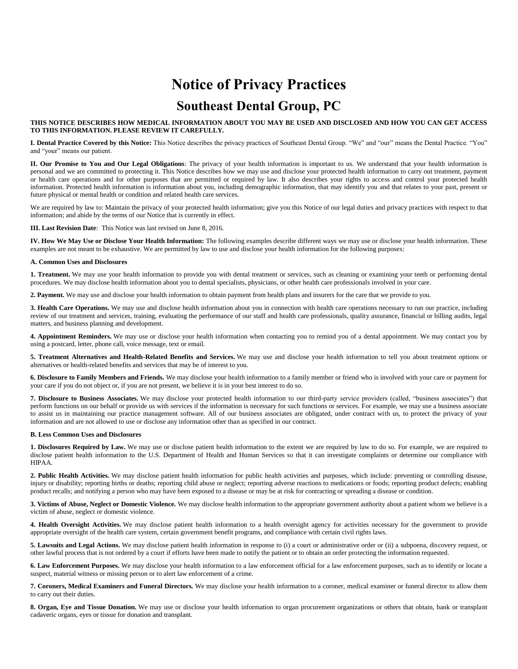### **Notice of Privacy Practices**

### **Southeast Dental Group, PC**

**THIS NOTICE DESCRIBES HOW MEDICAL INFORMATION ABOUT YOU MAY BE USED AND DISCLOSED AND HOW YOU CAN GET ACCESS TO THIS INFORMATION. PLEASE REVIEW IT CAREFULLY.**

**I. Dental Practice Covered by this Notice:** This Notice describes the privacy practices of Southeast Dental Group. "We" and "our" means the Dental Practice. "You" and "your" means our patient.

**II. Our Promise to You and Our Legal Obligations**: The privacy of your health information is important to us. We understand that your health information is personal and we are committed to protecting it. This Notice describes how we may use and disclose your protected health information to carry out treatment, payment or health care operations and for other purposes that are permitted or required by law. It also describes your rights to access and control your protected health information. Protected health information is information about you, including demographic information, that may identify you and that relates to your past, present or future physical or mental health or condition and related health care services.

We are required by law to: Maintain the privacy of your protected health information; give you this Notice of our legal duties and privacy practices with respect to that information; and abide by the terms of our Notice that is currently in effect.

**III. Last Revision Date**: This Notice was last revised on June 8, 2016.

**IV. How We May Use or Disclose Your Health Information:** The following examples describe different ways we may use or disclose your health information. These examples are not meant to be exhaustive. We are permitted by law to use and disclose your health information for the following purposes:

#### **A. Common Uses and Disclosures**

1. Treatment. We may use your health information to provide you with dental treatment or services, such as cleaning or examining your teeth or performing dental procedures. We may disclose health information about you to dental specialists, physicians, or other health care professionals involved in your care.

**2. Payment.** We may use and disclose your health information to obtain payment from health plans and insurers for the care that we provide to you.

**3. Health Care Operations.** We may use and disclose health information about you in connection with health care operations necessary to run our practice, including review of our treatment and services, training, evaluating the performance of our staff and health care professionals, quality assurance, financial or billing audits, legal matters, and business planning and development.

**4. Appointment Reminders.** We may use or disclose your health information when contacting you to remind you of a dental appointment. We may contact you by using a postcard, letter, phone call, voice message, text or email.

**5. Treatment Alternatives and Health-Related Benefits and Services.** We may use and disclose your health information to tell you about treatment options or alternatives or health-related benefits and services that may be of interest to you.

**6. Disclosure to Family Members and Friends.** We may disclose your health information to a family member or friend who is involved with your care or payment for your care if you do not object or, if you are not present, we believe it is in your best interest to do so.

**7. Disclosure to Business Associates.** We may disclose your protected health information to our third-party service providers (called, "business associates") that perform functions on our behalf or provide us with services if the information is necessary for such functions or services. For example, we may use a business associate to assist us in maintaining our practice management software. All of our business associates are obligated, under contract with us, to protect the privacy of your information and are not allowed to use or disclose any information other than as specified in our contract.

#### **B. Less Common Uses and Disclosures**

**1. Disclosures Required by Law.** We may use or disclose patient health information to the extent we are required by law to do so. For example, we are required to disclose patient health information to the U.S. Department of Health and Human Services so that it can investigate complaints or determine our compliance with HIPAA.

**2. Public Health Activities.** We may disclose patient health information for public health activities and purposes, which include: preventing or controlling disease, injury or disability; reporting births or deaths; reporting child abuse or neglect; reporting adverse reactions to medications or foods; reporting product defects; enabling product recalls; and notifying a person who may have been exposed to a disease or may be at risk for contracting or spreading a disease or condition.

**3. Victims of Abuse, Neglect or Domestic Violence.** We may disclose health information to the appropriate government authority about a patient whom we believe is a victim of abuse, neglect or domestic violence.

**4. Health Oversight Activities.** We may disclose patient health information to a health oversight agency for activities necessary for the government to provide appropriate oversight of the health care system, certain government benefit programs, and compliance with certain civil rights laws.

5. Lawsuits and Legal Actions. We may disclose patient health information in response to (i) a court or administrative order or (ii) a subpoena, discovery request, or other lawful process that is not ordered by a court if efforts have been made to notify the patient or to obtain an order protecting the information requested.

**6. Law Enforcement Purposes.** We may disclose your health information to a law enforcement official for a law enforcement purposes, such as to identify or locate a suspect, material witness or missing person or to alert law enforcement of a crime.

**7. Coroners, Medical Examiners and Funeral Directors.** We may disclose your health information to a coroner, medical examiner or funeral director to allow them to carry out their duties.

**8. Organ, Eye and Tissue Donation.** We may use or disclose your health information to organ procurement organizations or others that obtain, bank or transplant cadaveric organs, eyes or tissue for donation and transplant.